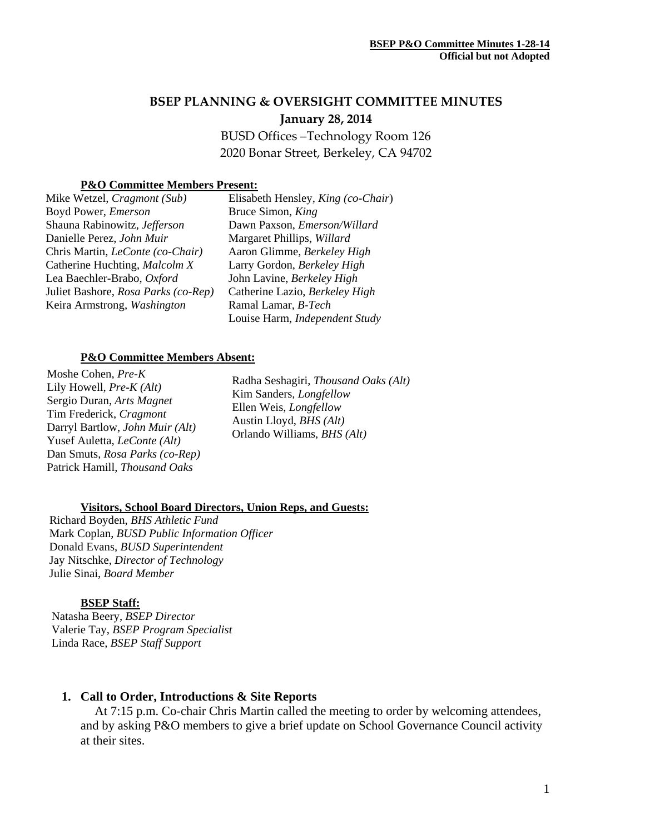# **BSEP PLANNING & OVERSIGHT COMMITTEE MINUTES January 28, 2014**

BUSD Offices –Technology Room 126 2020 Bonar Street, Berkeley, CA 94702

### **P&O Committee Members Present:**

| Mike Wetzel, Cragmont (Sub)         | Elisabeth Hensley, King (co-Chair) |
|-------------------------------------|------------------------------------|
| Boyd Power, Emerson                 | Bruce Simon, King                  |
| Shauna Rabinowitz, Jefferson        | Dawn Paxson, Emerson/Willard       |
| Danielle Perez, John Muir           | Margaret Phillips, Willard         |
| Chris Martin, LeConte (co-Chair)    | Aaron Glimme, Berkeley High        |
| Catherine Huchting, Malcolm X       | Larry Gordon, Berkeley High        |
| Lea Baechler-Brabo, Oxford          | John Lavine, Berkeley High         |
| Juliet Bashore, Rosa Parks (co-Rep) | Catherine Lazio, Berkeley High     |
| Keira Armstrong, Washington         | Ramal Lamar, B-Tech                |
|                                     | Louise Harm, Independent Study     |

#### **P&O Committee Members Absent:**

Moshe Cohen, *Pre-K*  Lily Howell, *Pre-K (Alt)*  Sergio Duran, *Arts Magnet*  Tim Frederick, *Cragmont*  Darryl Bartlow, *John Muir (Alt)*  Yusef Auletta, *LeConte (Alt)*  Dan Smuts, *Rosa Parks (co-Rep)*  Patrick Hamill, *Thousand Oaks* 

Radha Seshagiri, *Thousand Oaks (Alt)*  Kim Sanders*, Longfellow* Ellen Weis, *Longfellow*  Austin Lloyd, *BHS (Alt)* Orlando Williams, *BHS (Alt)* 

### **Visitors, School Board Directors, Union Reps, and Guests:**

Richard Boyden, *BHS Athletic Fund* Mark Coplan, *BUSD Public Information Officer* Donald Evans, *BUSD Superintendent* Jay Nitschke, *Director of Technology*  Julie Sinai, *Board Member* 

### **BSEP Staff:**

 Natasha Beery, *BSEP Director* Valerie Tay, *BSEP Program Specialist*  Linda Race, *BSEP Staff Support* 

### **1. Call to Order, Introductions & Site Reports**

At 7:15 p.m. Co-chair Chris Martin called the meeting to order by welcoming attendees, and by asking P&O members to give a brief update on School Governance Council activity at their sites.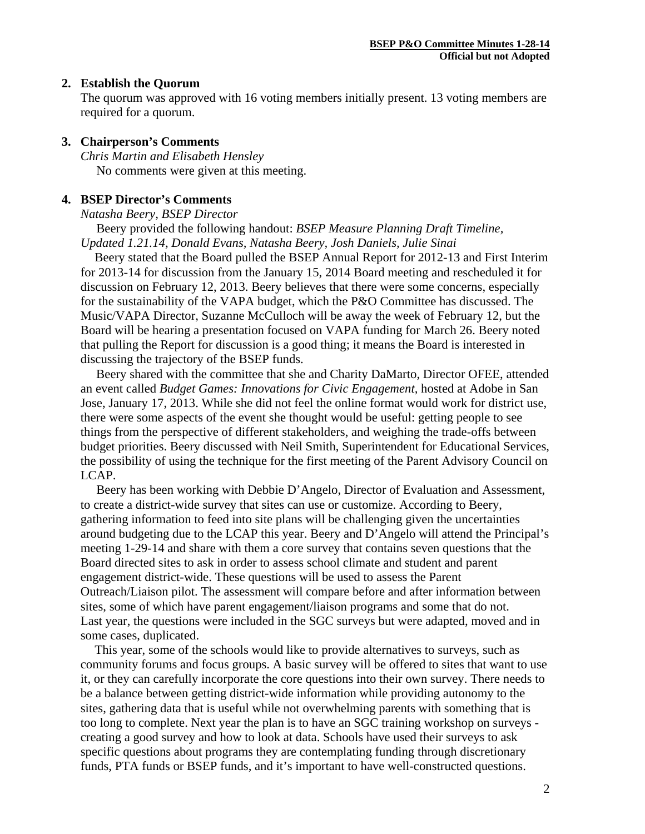## **2. Establish the Quorum**

The quorum was approved with 16 voting members initially present. 13 voting members are required for a quorum.

# **3. Chairperson's Comments**

*Chris Martin and Elisabeth Hensley* No comments were given at this meeting.

# **4. BSEP Director's Comments**

### *Natasha Beery, BSEP Director*

 Beery provided the following handout: *BSEP Measure Planning Draft Timeline, Updated 1.21.14, Donald Evans, Natasha Beery, Josh Daniels, Julie Sinai*

 Beery stated that the Board pulled the BSEP Annual Report for 2012-13 and First Interim for 2013-14 for discussion from the January 15, 2014 Board meeting and rescheduled it for discussion on February 12, 2013. Beery believes that there were some concerns, especially for the sustainability of the VAPA budget, which the P&O Committee has discussed. The Music/VAPA Director, Suzanne McCulloch will be away the week of February 12, but the Board will be hearing a presentation focused on VAPA funding for March 26. Beery noted that pulling the Report for discussion is a good thing; it means the Board is interested in discussing the trajectory of the BSEP funds.

 Beery shared with the committee that she and Charity DaMarto, Director OFEE, attended an event called *Budget Games: Innovations for Civic Engagement,* hosted at Adobe in San Jose, January 17, 2013. While she did not feel the online format would work for district use, there were some aspects of the event she thought would be useful: getting people to see things from the perspective of different stakeholders, and weighing the trade-offs between budget priorities. Beery discussed with Neil Smith, Superintendent for Educational Services, the possibility of using the technique for the first meeting of the Parent Advisory Council on LCAP.

 Beery has been working with Debbie D'Angelo, Director of Evaluation and Assessment, to create a district-wide survey that sites can use or customize. According to Beery, gathering information to feed into site plans will be challenging given the uncertainties around budgeting due to the LCAP this year. Beery and D'Angelo will attend the Principal's meeting 1-29-14 and share with them a core survey that contains seven questions that the Board directed sites to ask in order to assess school climate and student and parent engagement district-wide. These questions will be used to assess the Parent Outreach/Liaison pilot. The assessment will compare before and after information between sites, some of which have parent engagement/liaison programs and some that do not. Last year, the questions were included in the SGC surveys but were adapted, moved and in some cases, duplicated.

This year, some of the schools would like to provide alternatives to surveys, such as community forums and focus groups. A basic survey will be offered to sites that want to use it, or they can carefully incorporate the core questions into their own survey. There needs to be a balance between getting district-wide information while providing autonomy to the sites, gathering data that is useful while not overwhelming parents with something that is too long to complete. Next year the plan is to have an SGC training workshop on surveys creating a good survey and how to look at data. Schools have used their surveys to ask specific questions about programs they are contemplating funding through discretionary funds, PTA funds or BSEP funds, and it's important to have well-constructed questions.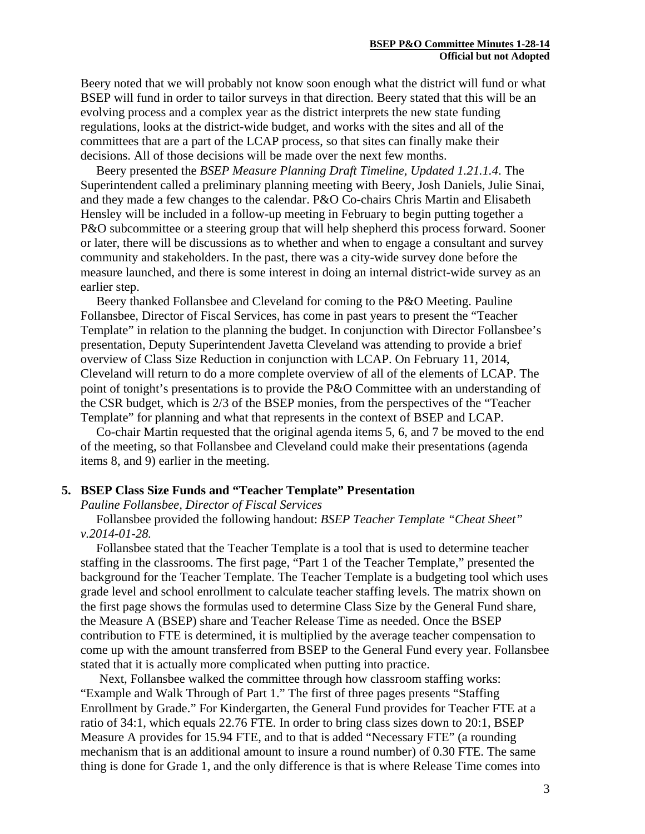Beery noted that we will probably not know soon enough what the district will fund or what BSEP will fund in order to tailor surveys in that direction. Beery stated that this will be an evolving process and a complex year as the district interprets the new state funding regulations, looks at the district-wide budget, and works with the sites and all of the committees that are a part of the LCAP process, so that sites can finally make their decisions. All of those decisions will be made over the next few months.

 Beery presented the *BSEP Measure Planning Draft Timeline, Updated 1.21.1.4*. The Superintendent called a preliminary planning meeting with Beery, Josh Daniels, Julie Sinai, and they made a few changes to the calendar. P&O Co-chairs Chris Martin and Elisabeth Hensley will be included in a follow-up meeting in February to begin putting together a P&O subcommittee or a steering group that will help shepherd this process forward. Sooner or later, there will be discussions as to whether and when to engage a consultant and survey community and stakeholders. In the past, there was a city-wide survey done before the measure launched, and there is some interest in doing an internal district-wide survey as an earlier step.

 Beery thanked Follansbee and Cleveland for coming to the P&O Meeting. Pauline Follansbee, Director of Fiscal Services, has come in past years to present the "Teacher Template" in relation to the planning the budget. In conjunction with Director Follansbee's presentation, Deputy Superintendent Javetta Cleveland was attending to provide a brief overview of Class Size Reduction in conjunction with LCAP. On February 11, 2014, Cleveland will return to do a more complete overview of all of the elements of LCAP. The point of tonight's presentations is to provide the P&O Committee with an understanding of the CSR budget, which is 2/3 of the BSEP monies, from the perspectives of the "Teacher Template" for planning and what that represents in the context of BSEP and LCAP.

 Co-chair Martin requested that the original agenda items 5, 6, and 7 be moved to the end of the meeting, so that Follansbee and Cleveland could make their presentations (agenda items 8, and 9) earlier in the meeting.

#### **5. BSEP Class Size Funds and "Teacher Template" Presentation**

*Pauline Follansbee, Director of Fiscal Services* 

 Follansbee provided the following handout: *BSEP Teacher Template "Cheat Sheet" v.2014-01-28.*

 Follansbee stated that the Teacher Template is a tool that is used to determine teacher staffing in the classrooms. The first page, "Part 1 of the Teacher Template," presented the background for the Teacher Template. The Teacher Template is a budgeting tool which uses grade level and school enrollment to calculate teacher staffing levels. The matrix shown on the first page shows the formulas used to determine Class Size by the General Fund share, the Measure A (BSEP) share and Teacher Release Time as needed. Once the BSEP contribution to FTE is determined, it is multiplied by the average teacher compensation to come up with the amount transferred from BSEP to the General Fund every year. Follansbee stated that it is actually more complicated when putting into practice.

 Next, Follansbee walked the committee through how classroom staffing works: "Example and Walk Through of Part 1." The first of three pages presents "Staffing Enrollment by Grade." For Kindergarten, the General Fund provides for Teacher FTE at a ratio of 34:1, which equals 22.76 FTE. In order to bring class sizes down to 20:1, BSEP Measure A provides for 15.94 FTE, and to that is added "Necessary FTE" (a rounding mechanism that is an additional amount to insure a round number) of 0.30 FTE. The same thing is done for Grade 1, and the only difference is that is where Release Time comes into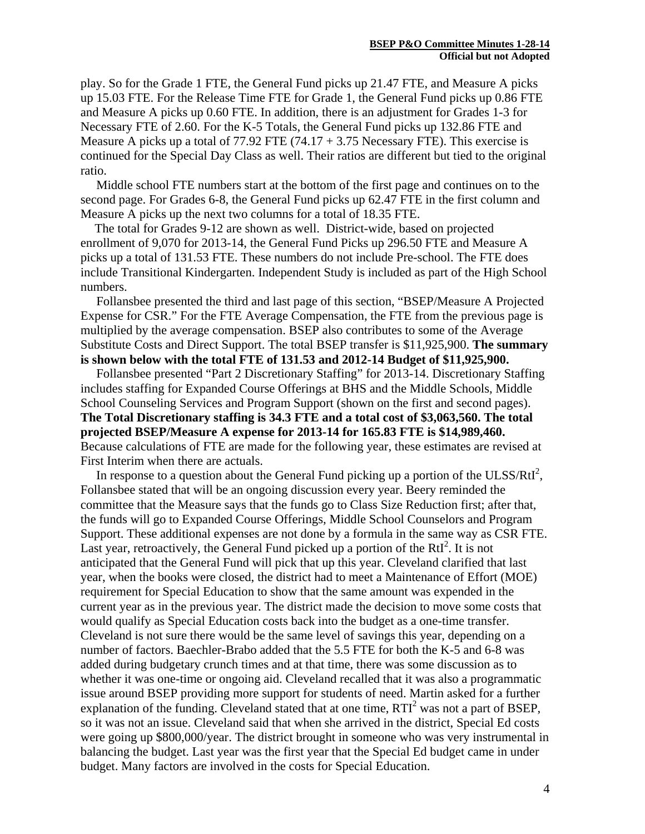play. So for the Grade 1 FTE, the General Fund picks up 21.47 FTE, and Measure A picks up 15.03 FTE. For the Release Time FTE for Grade 1, the General Fund picks up 0.86 FTE and Measure A picks up 0.60 FTE. In addition, there is an adjustment for Grades 1-3 for Necessary FTE of 2.60. For the K-5 Totals, the General Fund picks up 132.86 FTE and Measure A picks up a total of  $77.92$  FTE  $(74.17 + 3.75$  Necessary FTE). This exercise is continued for the Special Day Class as well. Their ratios are different but tied to the original ratio.

 Middle school FTE numbers start at the bottom of the first page and continues on to the second page. For Grades 6-8, the General Fund picks up 62.47 FTE in the first column and Measure A picks up the next two columns for a total of 18.35 FTE.

 The total for Grades 9-12 are shown as well. District-wide, based on projected enrollment of 9,070 for 2013-14, the General Fund Picks up 296.50 FTE and Measure A picks up a total of 131.53 FTE. These numbers do not include Pre-school. The FTE does include Transitional Kindergarten. Independent Study is included as part of the High School numbers.

 Follansbee presented the third and last page of this section, "BSEP/Measure A Projected Expense for CSR." For the FTE Average Compensation, the FTE from the previous page is multiplied by the average compensation. BSEP also contributes to some of the Average Substitute Costs and Direct Support. The total BSEP transfer is \$11,925,900. **The summary is shown below with the total FTE of 131.53 and 2012-14 Budget of \$11,925,900.** 

 Follansbee presented "Part 2 Discretionary Staffing" for 2013-14. Discretionary Staffing includes staffing for Expanded Course Offerings at BHS and the Middle Schools, Middle School Counseling Services and Program Support (shown on the first and second pages). **The Total Discretionary staffing is 34.3 FTE and a total cost of \$3,063,560. The total projected BSEP/Measure A expense for 2013-14 for 165.83 FTE is \$14,989,460.** Because calculations of FTE are made for the following year, these estimates are revised at First Interim when there are actuals.

In response to a question about the General Fund picking up a portion of the ULSS/ $RtI<sup>2</sup>$ , Follansbee stated that will be an ongoing discussion every year. Beery reminded the committee that the Measure says that the funds go to Class Size Reduction first; after that, the funds will go to Expanded Course Offerings, Middle School Counselors and Program Support. These additional expenses are not done by a formula in the same way as CSR FTE. Last year, retroactively, the General Fund picked up a portion of the RtI<sup>2</sup>. It is not anticipated that the General Fund will pick that up this year. Cleveland clarified that last year, when the books were closed, the district had to meet a Maintenance of Effort (MOE) requirement for Special Education to show that the same amount was expended in the current year as in the previous year. The district made the decision to move some costs that would qualify as Special Education costs back into the budget as a one-time transfer. Cleveland is not sure there would be the same level of savings this year, depending on a number of factors. Baechler-Brabo added that the 5.5 FTE for both the K-5 and 6-8 was added during budgetary crunch times and at that time, there was some discussion as to whether it was one-time or ongoing aid. Cleveland recalled that it was also a programmatic issue around BSEP providing more support for students of need. Martin asked for a further explanation of the funding. Cleveland stated that at one time,  $RTI<sup>2</sup>$  was not a part of BSEP, so it was not an issue. Cleveland said that when she arrived in the district, Special Ed costs were going up \$800,000/year. The district brought in someone who was very instrumental in balancing the budget. Last year was the first year that the Special Ed budget came in under budget. Many factors are involved in the costs for Special Education.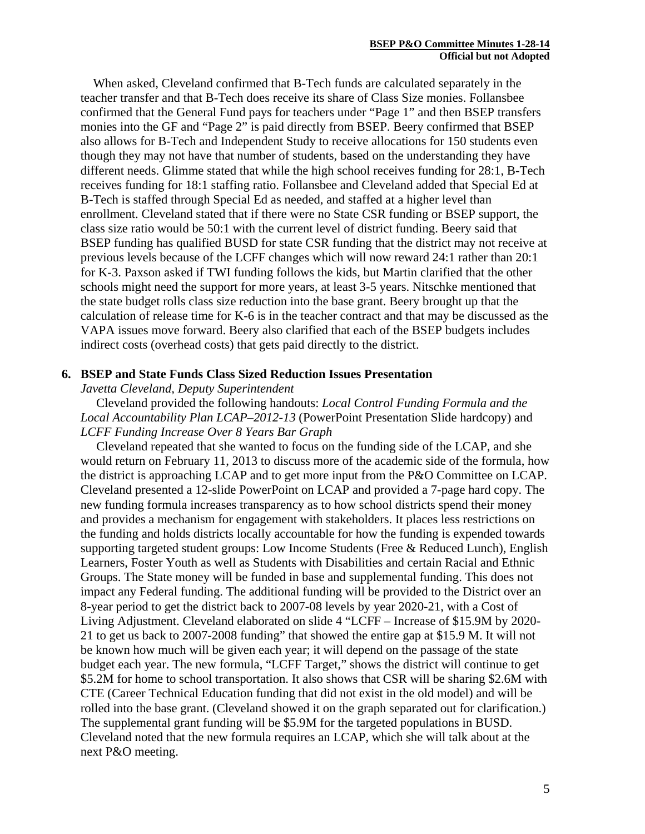When asked, Cleveland confirmed that B-Tech funds are calculated separately in the teacher transfer and that B-Tech does receive its share of Class Size monies. Follansbee confirmed that the General Fund pays for teachers under "Page 1" and then BSEP transfers monies into the GF and "Page 2" is paid directly from BSEP. Beery confirmed that BSEP also allows for B-Tech and Independent Study to receive allocations for 150 students even though they may not have that number of students, based on the understanding they have different needs. Glimme stated that while the high school receives funding for 28:1, B-Tech receives funding for 18:1 staffing ratio. Follansbee and Cleveland added that Special Ed at B-Tech is staffed through Special Ed as needed, and staffed at a higher level than enrollment. Cleveland stated that if there were no State CSR funding or BSEP support, the class size ratio would be 50:1 with the current level of district funding. Beery said that BSEP funding has qualified BUSD for state CSR funding that the district may not receive at previous levels because of the LCFF changes which will now reward 24:1 rather than 20:1 for K-3. Paxson asked if TWI funding follows the kids, but Martin clarified that the other schools might need the support for more years, at least 3-5 years. Nitschke mentioned that the state budget rolls class size reduction into the base grant. Beery brought up that the calculation of release time for K-6 is in the teacher contract and that may be discussed as the VAPA issues move forward. Beery also clarified that each of the BSEP budgets includes indirect costs (overhead costs) that gets paid directly to the district.

### **6. BSEP and State Funds Class Sized Reduction Issues Presentation**

*Javetta Cleveland, Deputy Superintendent* 

 Cleveland provided the following handouts: *Local Control Funding Formula and the Local Accountability Plan LCAP–2012-13* (PowerPoint Presentation Slide hardcopy) and *LCFF Funding Increase Over 8 Years Bar Graph*

 Cleveland repeated that she wanted to focus on the funding side of the LCAP, and she would return on February 11, 2013 to discuss more of the academic side of the formula, how the district is approaching LCAP and to get more input from the P&O Committee on LCAP. Cleveland presented a 12-slide PowerPoint on LCAP and provided a 7-page hard copy. The new funding formula increases transparency as to how school districts spend their money and provides a mechanism for engagement with stakeholders. It places less restrictions on the funding and holds districts locally accountable for how the funding is expended towards supporting targeted student groups: Low Income Students (Free & Reduced Lunch), English Learners, Foster Youth as well as Students with Disabilities and certain Racial and Ethnic Groups. The State money will be funded in base and supplemental funding. This does not impact any Federal funding. The additional funding will be provided to the District over an 8-year period to get the district back to 2007-08 levels by year 2020-21, with a Cost of Living Adjustment. Cleveland elaborated on slide 4 "LCFF – Increase of \$15.9M by 2020- 21 to get us back to 2007-2008 funding" that showed the entire gap at \$15.9 M. It will not be known how much will be given each year; it will depend on the passage of the state budget each year. The new formula, "LCFF Target," shows the district will continue to get \$5.2M for home to school transportation. It also shows that CSR will be sharing \$2.6M with CTE (Career Technical Education funding that did not exist in the old model) and will be rolled into the base grant. (Cleveland showed it on the graph separated out for clarification.) The supplemental grant funding will be \$5.9M for the targeted populations in BUSD. Cleveland noted that the new formula requires an LCAP, which she will talk about at the next P&O meeting.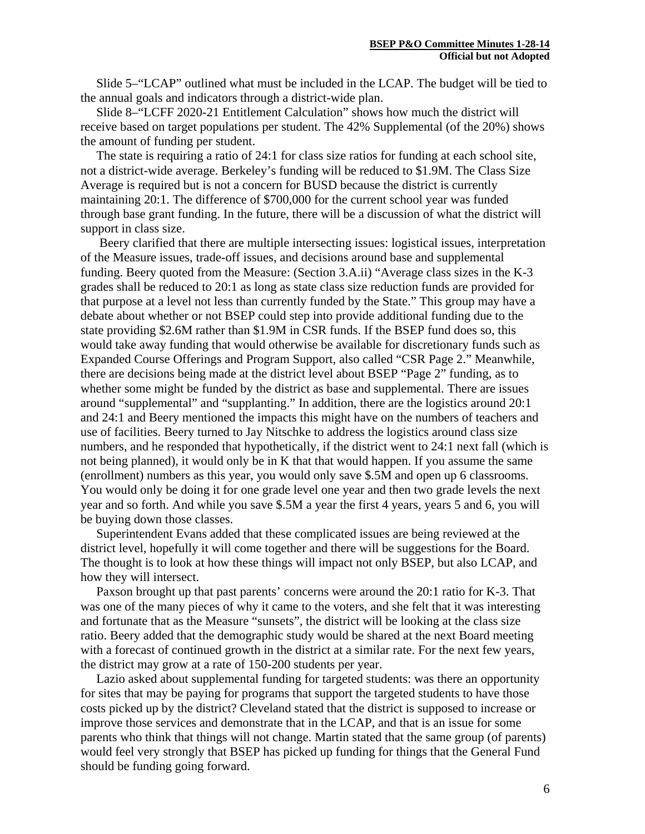Slide 5–"LCAP" outlined what must be included in the LCAP. The budget will be tied to the annual goals and indicators through a district-wide plan.

 Slide 8–"LCFF 2020-21 Entitlement Calculation" shows how much the district will receive based on target populations per student. The 42% Supplemental (of the 20%) shows the amount of funding per student.

 The state is requiring a ratio of 24:1 for class size ratios for funding at each school site, not a district-wide average. Berkeley's funding will be reduced to \$1.9M. The Class Size Average is required but is not a concern for BUSD because the district is currently maintaining 20:1. The difference of \$700,000 for the current school year was funded through base grant funding. In the future, there will be a discussion of what the district will support in class size.

 Beery clarified that there are multiple intersecting issues: logistical issues, interpretation of the Measure issues, trade-off issues, and decisions around base and supplemental funding. Beery quoted from the Measure: (Section 3.A.ii) "Average class sizes in the K-3 grades shall be reduced to 20:1 as long as state class size reduction funds are provided for that purpose at a level not less than currently funded by the State." This group may have a debate about whether or not BSEP could step into provide additional funding due to the state providing \$2.6M rather than \$1.9M in CSR funds. If the BSEP fund does so, this would take away funding that would otherwise be available for discretionary funds such as Expanded Course Offerings and Program Support, also called "CSR Page 2." Meanwhile, there are decisions being made at the district level about BSEP "Page 2" funding, as to whether some might be funded by the district as base and supplemental. There are issues around "supplemental" and "supplanting." In addition, there are the logistics around 20:1 and 24:1 and Beery mentioned the impacts this might have on the numbers of teachers and use of facilities. Beery turned to Jay Nitschke to address the logistics around class size numbers, and he responded that hypothetically, if the district went to 24:1 next fall (which is not being planned), it would only be in K that that would happen. If you assume the same (enrollment) numbers as this year, you would only save \$.5M and open up 6 classrooms. You would only be doing it for one grade level one year and then two grade levels the next year and so forth. And while you save \$.5M a year the first 4 years, years 5 and 6, you will be buying down those classes.

 Superintendent Evans added that these complicated issues are being reviewed at the district level, hopefully it will come together and there will be suggestions for the Board. The thought is to look at how these things will impact not only BSEP, but also LCAP, and how they will intersect.

 Paxson brought up that past parents' concerns were around the 20:1 ratio for K-3. That was one of the many pieces of why it came to the voters, and she felt that it was interesting and fortunate that as the Measure "sunsets", the district will be looking at the class size ratio. Beery added that the demographic study would be shared at the next Board meeting with a forecast of continued growth in the district at a similar rate. For the next few years, the district may grow at a rate of 150-200 students per year.

 Lazio asked about supplemental funding for targeted students: was there an opportunity for sites that may be paying for programs that support the targeted students to have those costs picked up by the district? Cleveland stated that the district is supposed to increase or improve those services and demonstrate that in the LCAP, and that is an issue for some parents who think that things will not change. Martin stated that the same group (of parents) would feel very strongly that BSEP has picked up funding for things that the General Fund should be funding going forward.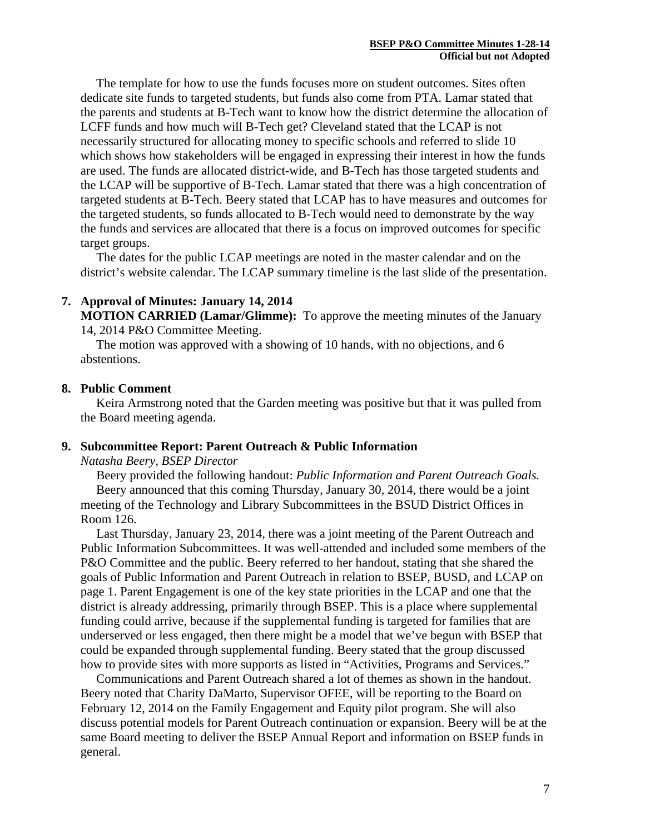The template for how to use the funds focuses more on student outcomes. Sites often dedicate site funds to targeted students, but funds also come from PTA. Lamar stated that the parents and students at B-Tech want to know how the district determine the allocation of LCFF funds and how much will B-Tech get? Cleveland stated that the LCAP is not necessarily structured for allocating money to specific schools and referred to slide 10 which shows how stakeholders will be engaged in expressing their interest in how the funds are used. The funds are allocated district-wide, and B-Tech has those targeted students and the LCAP will be supportive of B-Tech. Lamar stated that there was a high concentration of targeted students at B-Tech. Beery stated that LCAP has to have measures and outcomes for the targeted students, so funds allocated to B-Tech would need to demonstrate by the way the funds and services are allocated that there is a focus on improved outcomes for specific target groups.

 The dates for the public LCAP meetings are noted in the master calendar and on the district's website calendar. The LCAP summary timeline is the last slide of the presentation.

## **7. Approval of Minutes: January 14, 2014**

**MOTION CARRIED (Lamar/Glimme):** To approve the meeting minutes of the January 14, 2014 P&O Committee Meeting.

 The motion was approved with a showing of 10 hands, with no objections, and 6 abstentions.

## **8. Public Comment**

 Keira Armstrong noted that the Garden meeting was positive but that it was pulled from the Board meeting agenda.

### **9. Subcommittee Report: Parent Outreach & Public Information**

*Natasha Beery, BSEP Director*

 Beery provided the following handout: *Public Information and Parent Outreach Goals.* Beery announced that this coming Thursday, January 30, 2014, there would be a joint meeting of the Technology and Library Subcommittees in the BSUD District Offices in Room 126.

 Last Thursday, January 23, 2014, there was a joint meeting of the Parent Outreach and Public Information Subcommittees. It was well-attended and included some members of the P&O Committee and the public. Beery referred to her handout, stating that she shared the goals of Public Information and Parent Outreach in relation to BSEP, BUSD, and LCAP on page 1. Parent Engagement is one of the key state priorities in the LCAP and one that the district is already addressing, primarily through BSEP. This is a place where supplemental funding could arrive, because if the supplemental funding is targeted for families that are underserved or less engaged, then there might be a model that we've begun with BSEP that could be expanded through supplemental funding. Beery stated that the group discussed how to provide sites with more supports as listed in "Activities, Programs and Services."

 Communications and Parent Outreach shared a lot of themes as shown in the handout. Beery noted that Charity DaMarto, Supervisor OFEE, will be reporting to the Board on February 12, 2014 on the Family Engagement and Equity pilot program. She will also discuss potential models for Parent Outreach continuation or expansion. Beery will be at the same Board meeting to deliver the BSEP Annual Report and information on BSEP funds in general.